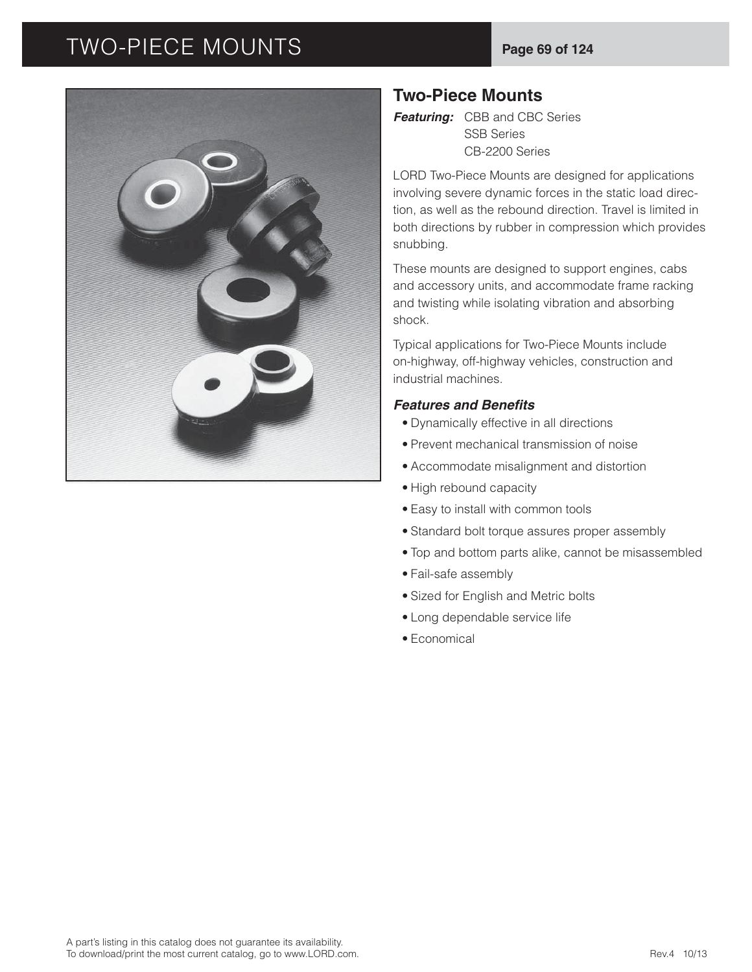# TWO-PIECE MOUNTS **Page 69 of 124**



## **Two-Piece Mounts**

*Featuring:* CBB and CBC Series SSB Series CB-2200 Series

LORD Two-Piece Mounts are designed for applications involving severe dynamic forces in the static load direction, as well as the rebound direction. Travel is limited in both directions by rubber in compression which provides snubbing.

These mounts are designed to support engines, cabs and accessory units, and accommodate frame racking and twisting while isolating vibration and absorbing shock.

Typical applications for Two-Piece Mounts include on-highway, off-highway vehicles, construction and industrial machines.

#### **Features and Benefits**

- Dynamically effective in all directions
- Prevent mechanical transmission of noise
- Accommodate misalignment and distortion
- High rebound capacity
- Easy to install with common tools
- Standard bolt torque assures proper assembly
- Top and bottom parts alike, cannot be misassembled
- Fail-safe assembly
- Sized for English and Metric bolts
- Long dependable service life
- Economical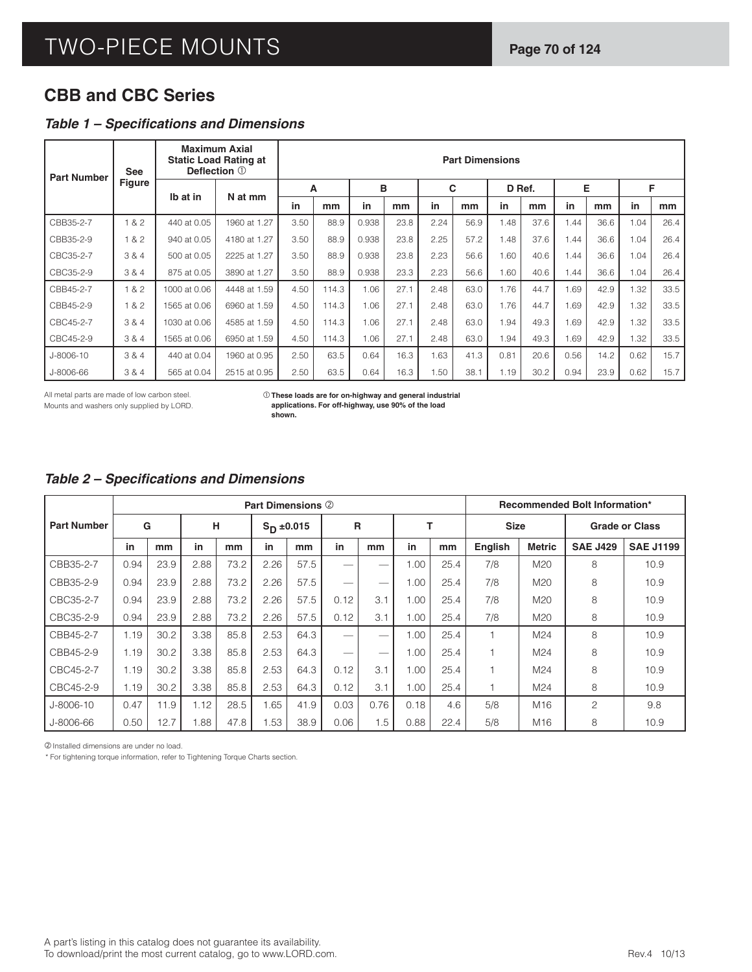# **CBB and CBC Series**

#### **Table 1 - Specifications and Dimensions**

| <b>Part Number</b> | <b>See</b>    |              | <b>Maximum Axial</b><br><b>Static Load Rating at</b><br>Deflection 1 |      |       |       |      |      | <b>Part Dimensions</b> |      |        |      |      |      |      |
|--------------------|---------------|--------------|----------------------------------------------------------------------|------|-------|-------|------|------|------------------------|------|--------|------|------|------|------|
|                    | <b>Figure</b> |              | N at mm                                                              | A    |       | B     |      |      | C                      |      | D Ref. | Е    |      |      | F    |
|                    |               | Ib at in     |                                                                      | in   | mm    | in    | mm   | in   | mm                     | in   | mm     | in   | mm   | in   | mm   |
| CBB35-2-7          | 1 & 2         | 440 at 0.05  | 1960 at 1.27                                                         | 3.50 | 88.9  | 0.938 | 23.8 | 2.24 | 56.9                   | 1.48 | 37.6   | 1.44 | 36.6 | 1.04 | 26.4 |
| CBB35-2-9          | 1 & 2         | 940 at 0.05  | 4180 at 1.27                                                         | 3.50 | 88.9  | 0.938 | 23.8 | 2.25 | 57.2                   | 1.48 | 37.6   | 1.44 | 36.6 | 1.04 | 26.4 |
| CBC35-2-7          | 3 & 4         | 500 at 0.05  | 2225 at 1.27                                                         | 3.50 | 88.9  | 0.938 | 23.8 | 2.23 | 56.6                   | 1.60 | 40.6   | 1.44 | 36.6 | 1.04 | 26.4 |
| CBC35-2-9          | 3 & 4         | 875 at 0.05  | 3890 at 1.27                                                         | 3.50 | 88.9  | 0.938 | 23.3 | 2.23 | 56.6                   | 1.60 | 40.6   | 1.44 | 36.6 | 1.04 | 26.4 |
| CBB45-2-7          | 1 & 2         | 1000 at 0.06 | 4448 at 1.59                                                         | 4.50 | 114.3 | 1.06  | 27.1 | 2.48 | 63.0                   | 1.76 | 44.7   | 1.69 | 42.9 | 1.32 | 33.5 |
| CBB45-2-9          | 1 & 2         | 1565 at 0.06 | 6960 at 1.59                                                         | 4.50 | 114.3 | 1.06  | 27.1 | 2.48 | 63.0                   | 1.76 | 44.7   | 1.69 | 42.9 | 1.32 | 33.5 |
| CBC45-2-7          | 3 & 4         | 1030 at 0.06 | 4585 at 1.59                                                         | 4.50 | 114.3 | 1.06  | 27.1 | 2.48 | 63.0                   | 1.94 | 49.3   | 1.69 | 42.9 | 1.32 | 33.5 |
| CBC45-2-9          | 3 & 4         | 1565 at 0.06 | 6950 at 1.59                                                         | 4.50 | 114.3 | 1.06  | 27.1 | 2.48 | 63.0                   | 1.94 | 49.3   | 1.69 | 42.9 | 1.32 | 33.5 |
| J-8006-10          | 3 & 4         | 440 at 0.04  | 1960 at 0.95                                                         | 2.50 | 63.5  | 0.64  | 16.3 | 1.63 | 41.3                   | 0.81 | 20.6   | 0.56 | 14.2 | 0.62 | 15.7 |
| J-8006-66          | 3 & 4         | 565 at 0.04  | 2515 at 0.95                                                         | 2.50 | 63.5  | 0.64  | 16.3 | 1.50 | 38.1                   | 1.19 | 30.2   | 0.94 | 23.9 | 0.62 | 15.7 |

All metal parts are made of low carbon steel. Mounts and washers only supplied by LORD. **These loads are for on-highway and general industrial applications. For off-highway, use 90% of the load shown.**

#### **Table 2 – Specifications and Dimensions**

|                    |      |      |      |      | <b>Part Dimensions 2</b> |      |      |                          |      |      |                |                 | <b>Recommended Bolt Information*</b> |                  |
|--------------------|------|------|------|------|--------------------------|------|------|--------------------------|------|------|----------------|-----------------|--------------------------------------|------------------|
| <b>Part Number</b> | G    |      | н    |      | $S_{D} = 0.015$          |      | R    |                          |      |      | <b>Size</b>    |                 | <b>Grade or Class</b>                |                  |
|                    | in   | mm   | in   | mm   | in                       | mm   | in   | mm                       | in   | mm   | <b>English</b> | <b>Metric</b>   | <b>SAE J429</b>                      | <b>SAE J1199</b> |
| CBB35-2-7          | 0.94 | 23.9 | 2.88 | 73.2 | 2.26                     | 57.5 |      |                          | 1.00 | 25.4 | 7/8            | M20             | 8                                    | 10.9             |
| CBB35-2-9          | 0.94 | 23.9 | 2.88 | 73.2 | 2.26                     | 57.5 |      |                          | 1.00 | 25.4 | 7/8            | M20             | 8                                    | 10.9             |
| CBC35-2-7          | 0.94 | 23.9 | 2.88 | 73.2 | 2.26                     | 57.5 | 0.12 | 3.1                      | 1.00 | 25.4 | 7/8            | M20             | 8                                    | 10.9             |
| CBC35-2-9          | 0.94 | 23.9 | 2.88 | 73.2 | 2.26                     | 57.5 | 0.12 | 3.1                      | 1.00 | 25.4 | 7/8            | M <sub>20</sub> | 8                                    | 10.9             |
| CBB45-2-7          | 1.19 | 30.2 | 3.38 | 85.8 | 2.53                     | 64.3 |      | $\overline{\phantom{0}}$ | 1.00 | 25.4 |                | M24             | 8                                    | 10.9             |
| CBB45-2-9          | 1.19 | 30.2 | 3.38 | 85.8 | 2.53                     | 64.3 | --   | --                       | 1.00 | 25.4 |                | M24             | 8                                    | 10.9             |
| CBC45-2-7          | 1.19 | 30.2 | 3.38 | 85.8 | 2.53                     | 64.3 | 0.12 | 3.1                      | 1.00 | 25.4 |                | M24             | 8                                    | 10.9             |
| CBC45-2-9          | 1.19 | 30.2 | 3.38 | 85.8 | 2.53                     | 64.3 | 0.12 | 3.1                      | 1.00 | 25.4 |                | M24             | 8                                    | 10.9             |
| J-8006-10          | 0.47 | 11.9 | 1.12 | 28.5 | 1.65                     | 41.9 | 0.03 | 0.76                     | 0.18 | 4.6  | 5/8            | M16             | $\overline{c}$                       | 9.8              |
| J-8006-66          | 0.50 | 12.7 | .88  | 47.8 | 1.53                     | 38.9 | 0.06 | 1.5                      | 0.88 | 22.4 | 5/8            | M <sub>16</sub> | 8                                    | 10.9             |

Installed dimensions are under no load.

\* For tightening torque information, refer to Tightening Torque Charts section.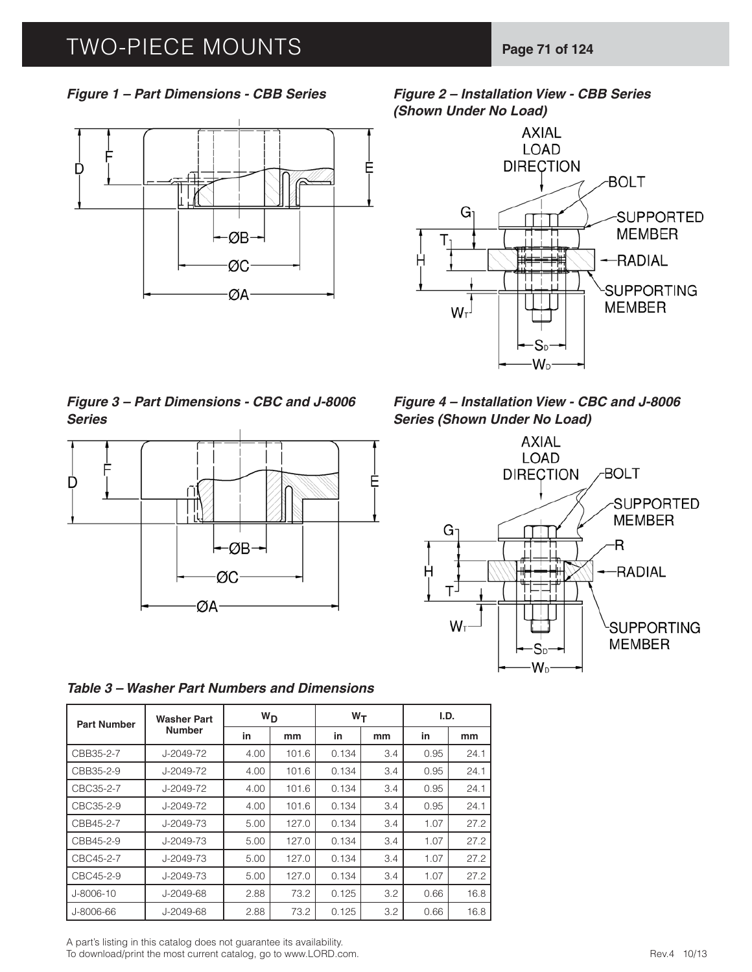# TWO-PIECE MOUNTS **Page 71 of 124**



*Figure 1 – Part Dimensions - CBB Series Figure 2 – Installation View - CBB Series (Shown Under No Load)*



*Figure 3 – Part Dimensions - CBC and J-8006 Series*



*Table 3 – Washer Part Numbers and Dimensions*

| <b>Part Number</b> | Washer Part     | $W_D$ |       | $W_T$ |     | I.D. |      |
|--------------------|-----------------|-------|-------|-------|-----|------|------|
|                    | <b>Number</b>   | in    | mm    | in    | mm  | in   | mm   |
| CBB35-2-7          | J-2049-72       | 4.00  | 101.6 | 0.134 | 3.4 | 0.95 | 24.1 |
| CBB35-2-9          | $J - 2049 - 72$ | 4.00  | 101.6 | 0.134 | 3.4 | 0.95 | 24.1 |
| CBC35-2-7          | J-2049-72       | 4.00  | 101.6 | 0.134 | 3.4 | 0.95 | 24.1 |
| CBC35-2-9          | J-2049-72       | 4.00  | 101.6 | 0.134 | 3.4 | 0.95 | 24.1 |
| CBB45-2-7          | $J-2049-73$     | 5.00  | 127.0 | 0.134 | 3.4 | 1.07 | 27.2 |
| CBB45-2-9          | J-2049-73       | 5.00  | 127.0 | 0.134 | 3.4 | 1.07 | 27.2 |
| CBC45-2-7          | $J-2049-73$     | 5.00  | 127.0 | 0.134 | 3.4 | 1.07 | 27.2 |
| CBC45-2-9          | $J - 2049 - 73$ | 5.00  | 127.0 | 0.134 | 3.4 | 1.07 | 27.2 |
| J-8006-10          | J-2049-68       | 2.88  | 73.2  | 0.125 | 3.2 | 0.66 | 16.8 |
| J-8006-66          | J-2049-68       | 2.88  | 73.2  | 0.125 | 3.2 | 0.66 | 16.8 |

A part's listing in this catalog does not guarantee its availability.

To download/print the most current catalog, go to www.LORD.com.

*Figure 4 – Installation View - CBC and J-8006 Series (Shown Under No Load)*

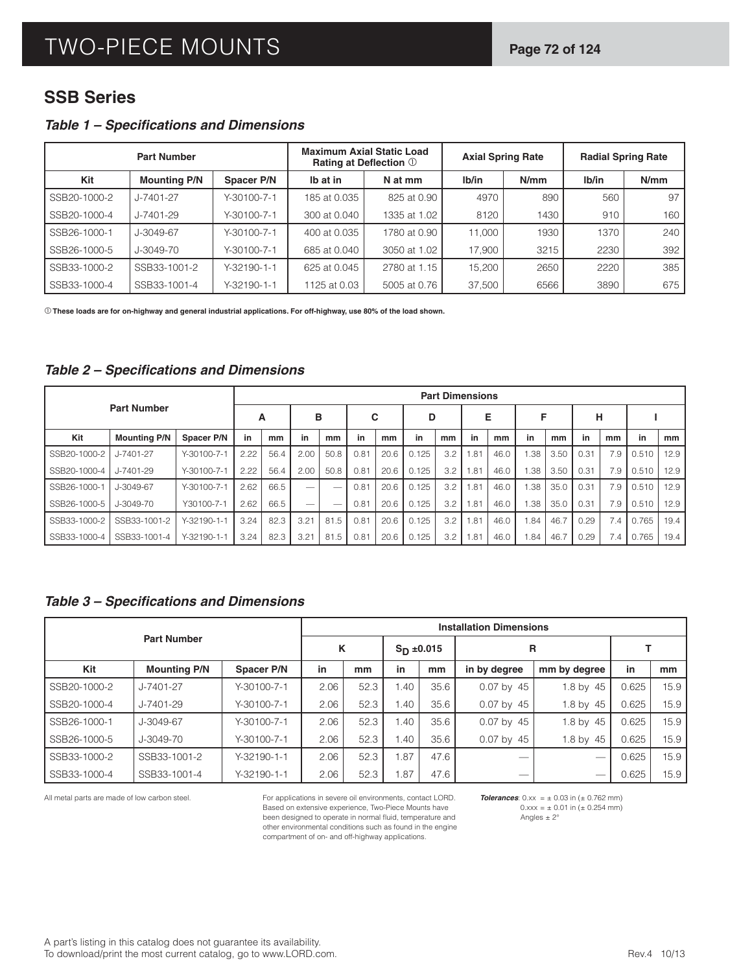## **SSB Series**

#### **Table 1 - Specifications and Dimensions**

|              | <b>Part Number</b>  |               |              | <b>Maximum Axial Static Load</b><br>Rating at Deflection 1 |        | <b>Axial Spring Rate</b> |       | <b>Radial Spring Rate</b> |
|--------------|---------------------|---------------|--------------|------------------------------------------------------------|--------|--------------------------|-------|---------------------------|
| Kit          | <b>Mounting P/N</b> | Spacer P/N    | Ib at in     | N at mm                                                    | Ib/in  | N/mm                     | lb/in | N/mm                      |
| SSB20-1000-2 | J-7401-27           | Y-30100-7-1   | 185 at 0.035 | 825 at 0.90                                                | 4970   | 890                      | 560   | 97                        |
| SSB20-1000-4 | J-7401-29           | Y-30100-7-1   | 300 at 0.040 | 1335 at 1.02                                               | 8120   | 1430                     | 910   | 160                       |
| SSB26-1000-1 | J-3049-67           | Y-30100-7-1   | 400 at 0.035 | 1780 at 0.90                                               | 11.000 | 1930                     | 1370  | 240                       |
| SSB26-1000-5 | J-3049-70           | Y-30100-7-1   | 685 at 0.040 | 3050 at 1.02                                               | 17,900 | 3215                     | 2230  | 392                       |
| SSB33-1000-2 | SSB33-1001-2        | $Y-32190-1-1$ | 625 at 0.045 | 2780 at 1.15                                               | 15,200 | 2650                     | 2220  | 385                       |
| SSB33-1000-4 | SSB33-1001-4        | Y-32190-1-1   | 1125 at 0.03 | 5005 at 0.76                                               | 37,500 | 6566                     | 3890  | 675                       |

**These loads are for on-highway and general industrial applications. For off-highway, use 80% of the load shown.**

#### **Table 2 – Specifications and Dimensions**

|              |                     |                     |      |      |                          |                          |      |      |       |     | <b>Part Dimensions</b> |      |      |      |      |     |       |      |
|--------------|---------------------|---------------------|------|------|--------------------------|--------------------------|------|------|-------|-----|------------------------|------|------|------|------|-----|-------|------|
|              | <b>Part Number</b>  |                     | A    |      | в                        |                          | С    |      | D     |     |                        | Е    | F    |      | н    |     |       |      |
| Kit          | <b>Mounting P/N</b> | Spacer P/N          | in   | mm   | in                       | mm                       | in   | mm   | in    | mm  | in                     | mm   | in   | mm   | in   | mm  | in    | mm   |
| SSB20-1000-2 | J-7401-27           | $Y-30100-7-1$       | 2.22 | 56.4 | 2.00                     | 50.8                     | 0.81 | 20.6 | 0.125 | 3.2 | .81                    | 46.0 | .38  | 3.50 | 0.31 | 7.9 | 0.510 | 12.9 |
| SSB20-1000-4 | $J - 7401 - 29$     | $Y - 30100 - 7 - 1$ | 2.22 | 56.4 | 2.00                     | 50.8                     | 0.81 | 20.6 | 0.125 | 3.2 | .81                    | 46.0 | .38  | 3.50 | 0.31 | 7.9 | 0.510 | 12.9 |
| SSB26-1000-1 | $J - 3049 - 67$     | $Y-30100-7-1$       | 2.62 | 66.5 |                          | $\overline{\phantom{a}}$ | 0.81 | 20.6 | 0.125 | 3.2 | 1.81                   | 46.0 | 1.38 | 35.0 | 0.31 | 7.9 | 0.510 | 12.9 |
| SSB26-1000-5 | $J - 3049 - 70$     | Y30100-7-1          | 2.62 | 66.5 | $\overline{\phantom{a}}$ | $\overline{\phantom{a}}$ | 0.81 | 20.6 | 0.125 | 3.2 | .81                    | 46.0 | .38  | 35.0 | 0.31 | 7.9 | 0.510 | 12.9 |
| SSB33-1000-2 | SSB33-1001-2        | $Y-32190-1-1$       | 3.24 | 82.3 | 3.21                     | 81.5                     | 0.81 | 20.6 | 0.125 | 3.2 | .81                    | 46.0 | .84  | 46.7 | 0.29 | 7.4 | 0.765 | 19.4 |
| SSB33-1000-4 | SSB33-1001-4        | $Y-32190-1-1$       | 3.24 | 82.3 | 3.21                     | 81.5                     | 0.81 | 20.6 | 0.125 | 3.2 | .81                    | 46.0 | .84  | 46.7 | 0.29 | 7.4 | 0.765 | 19.4 |

### **Table 3 – Specifications and Dimensions**

|              |                     |                   |          |      |     |                 | <b>Installation Dimensions</b> |                          |       |      |
|--------------|---------------------|-------------------|----------|------|-----|-----------------|--------------------------------|--------------------------|-------|------|
|              | <b>Part Number</b>  |                   | K        |      |     | $S_{D} = 0.015$ |                                | R                        |       |      |
| Kit          | <b>Mounting P/N</b> | <b>Spacer P/N</b> | in<br>mm |      | in  | mm              | in by degree                   | mm by degree             | in    | mm   |
| SSB20-1000-2 | J-7401-27           | Y-30100-7-1       | 2.06     | 52.3 | .40 | 35.6            | $0.07$ by 45                   | 1.8 by 45                | 0.625 | 15.9 |
| SSB20-1000-4 | J-7401-29           | Y-30100-7-1       | 2.06     | 52.3 | .40 | 35.6            | $0.07$ by 45                   | 1.8 by 45                | 0.625 | 15.9 |
| SSB26-1000-1 | J-3049-67           | Y-30100-7-1       | 2.06     | 52.3 | .40 | 35.6            | $0.07$ by 45                   | 1.8 by 45                | 0.625 | 15.9 |
| SSB26-1000-5 | J-3049-70           | Y-30100-7-1       | 2.06     | 52.3 | .40 | 35.6            | $0.07$ by 45                   | 1.8 by 45                | 0.625 | 15.9 |
| SSB33-1000-2 | SSB33-1001-2        | Y-32190-1-1       | 2.06     | 52.3 | .87 | 47.6            |                                | $\sim$                   | 0.625 | 15.9 |
| SSB33-1000-4 | SSB33-1001-4        | Y-32190-1-1       | 2.06     | 52.3 | .87 | 47.6            | $-$                            | $\overline{\phantom{a}}$ | 0.625 | 15.9 |

All metal parts are made of low carbon steel. For applications in severe oil environments, contact LORD. Based on extensive experience, Two-Piece Mounts have been designed to operate in normal fluid, temperature and other environmental conditions such as found in the engine compartment of on- and off-highway applications.

**Tolerances**:  $0.xx = \pm 0.03$  in  $(\pm 0.762$  mm)  $0.xxx = \pm 0.01$  in  $(\pm 0.254$  mm) Angles  $\pm 2^{\circ}$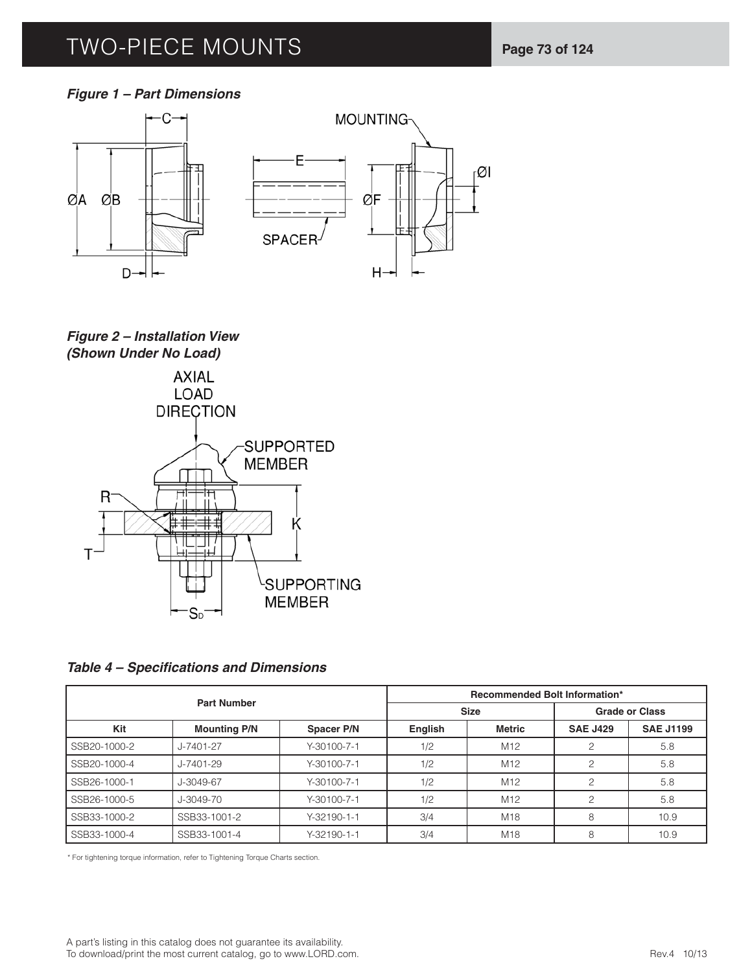# TWO-PIECE MOUNTS **Page 73 of 124**

### *Figure 1 – Part Dimensions*



## *Figure 2 – Installation View (Shown Under No Load)*



**Table 4 – Specifications and Dimensions** 

|              | <b>Part Number</b>  |                   |                | <b>Recommended Bolt Information*</b> |                 |                       |
|--------------|---------------------|-------------------|----------------|--------------------------------------|-----------------|-----------------------|
|              |                     |                   |                | <b>Size</b>                          |                 | <b>Grade or Class</b> |
| Kit          | <b>Mounting P/N</b> | <b>Spacer P/N</b> | <b>English</b> | Metric                               | <b>SAE J429</b> | <b>SAE J1199</b>      |
| SSB20-1000-2 | J-7401-27           | $Y-30100-7-1$     | 1/2            | M <sub>12</sub>                      |                 | 5.8                   |
| SSB20-1000-4 | $J - 7401 - 29$     | $Y-30100-7-1$     | 1/2            | M <sub>12</sub>                      |                 | 5.8                   |
| SSB26-1000-1 | J-3049-67           | $Y-30100-7-1$     | 1/2            | M <sub>12</sub>                      |                 | 5.8                   |
| SSB26-1000-5 | J-3049-70           | Y-30100-7-1       | 1/2            | M <sub>12</sub>                      |                 | 5.8                   |
| SSB33-1000-2 | SSB33-1001-2        | $Y-32190-1-1$     | 3/4            | M18                                  | 8               | 10.9                  |
| SSB33-1000-4 | SSB33-1001-4        | Y-32190-1-1       | 3/4            | M18                                  | 8               | 10.9                  |

\* For tightening torque information, refer to Tightening Torque Charts section.

A part's listing in this catalog does not guarantee its availability. To download/print the most current catalog, go to www.LORD.com.<br>
Rev.4 10/13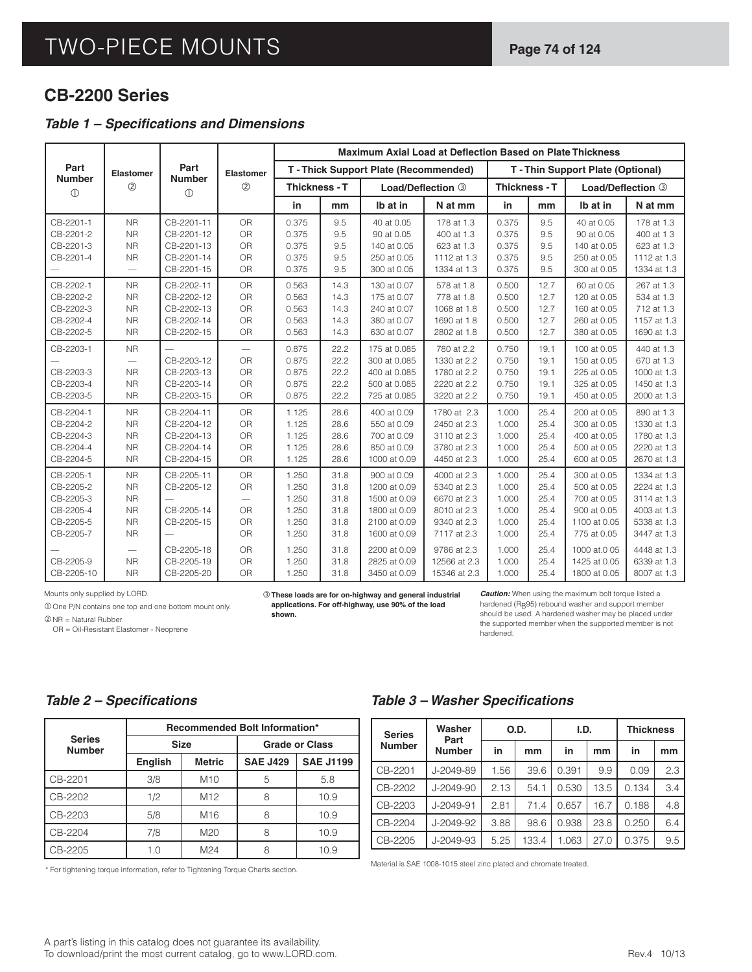## **CB-2200 Series**

### **Table 1 - Specifications and Dimensions**

|                                                                                                       |                                                                                                      |                                                                                                |                                                                                 |                                                                               |                                                                      |                                                                                                                                             | <b>Maximum Axial Load at Deflection Based on Plate Thickness</b>                                                                      |                                                                               |                                                                      |                                                                                                                                        |                                                                                                                                     |
|-------------------------------------------------------------------------------------------------------|------------------------------------------------------------------------------------------------------|------------------------------------------------------------------------------------------------|---------------------------------------------------------------------------------|-------------------------------------------------------------------------------|----------------------------------------------------------------------|---------------------------------------------------------------------------------------------------------------------------------------------|---------------------------------------------------------------------------------------------------------------------------------------|-------------------------------------------------------------------------------|----------------------------------------------------------------------|----------------------------------------------------------------------------------------------------------------------------------------|-------------------------------------------------------------------------------------------------------------------------------------|
| Part                                                                                                  | <b>Elastomer</b>                                                                                     | Part                                                                                           | Elastomer                                                                       | T - Thick Support Plate (Recommended)<br>Thickness - T                        |                                                                      |                                                                                                                                             |                                                                                                                                       |                                                                               |                                                                      | T - Thin Support Plate (Optional)                                                                                                      |                                                                                                                                     |
| <b>Number</b><br>$\circled{0}$                                                                        | (2)                                                                                                  | <b>Number</b><br>(1)                                                                           | (2)                                                                             |                                                                               |                                                                      |                                                                                                                                             | Load/Deflection 3                                                                                                                     | Thickness - T                                                                 |                                                                      | Load/Deflection 3                                                                                                                      |                                                                                                                                     |
|                                                                                                       |                                                                                                      |                                                                                                |                                                                                 | in                                                                            | mm                                                                   | Ib at in                                                                                                                                    | N at mm                                                                                                                               | in                                                                            | mm                                                                   | Ib at in                                                                                                                               | N at mm                                                                                                                             |
| CB-2201-1<br>CB-2201-2<br>CB-2201-3<br>CB-2201-4                                                      | <b>NR</b><br><b>NR</b><br><b>NR</b><br><b>NR</b>                                                     | CB-2201-11<br>CB-2201-12<br>CB-2201-13<br>CB-2201-14<br>CB-2201-15                             | OR<br><b>OR</b><br>OR<br><b>OR</b><br>OR                                        | 0.375<br>0.375<br>0.375<br>0.375<br>0.375                                     | 9.5<br>9.5<br>9.5<br>9.5<br>9.5                                      | 40 at 0.05<br>90 at 0.05<br>140 at 0.05<br>250 at 0.05<br>300 at 0.05                                                                       | 178 at 1.3<br>400 at 1.3<br>623 at 1.3<br>1112 at 1.3<br>1334 at 1.3                                                                  | 0.375<br>0.375<br>0.375<br>0.375<br>0.375                                     | 9.5<br>9.5<br>9.5<br>9.5<br>9.5                                      | 40 at 0.05<br>90 at 0.05<br>140 at 0.05<br>250 at 0.05<br>300 at 0.05                                                                  | 178 at 1.3<br>400 at 13<br>623 at 1.3<br>1112 at 1.3<br>1334 at 1.3                                                                 |
| CB-2202-1<br>CB-2202-2<br>CB-2202-3<br>CB-2202-4<br>CB-2202-5                                         | <b>NR</b><br><b>NR</b><br><b>NR</b><br><b>NR</b><br><b>NR</b>                                        | CB-2202-11<br>CB-2202-12<br>CB-2202-13<br>CB-2202-14<br>CB-2202-15                             | OR<br><b>OR</b><br>OR<br><b>OR</b><br>OR                                        | 0.563<br>0.563<br>0.563<br>0.563<br>0.563                                     | 14.3<br>14.3<br>14.3<br>14.3<br>14.3                                 | 130 at 0.07<br>175 at 0.07<br>240 at 0.07<br>380 at 0.07<br>630 at 0.07                                                                     | 578 at 1.8<br>778 at 1.8<br>1068 at 1.8<br>1690 at 1.8<br>2802 at 1.8                                                                 | 0.500<br>0.500<br>0.500<br>0.500<br>0.500                                     | 12.7<br>12.7<br>12.7<br>12.7<br>12.7                                 | 60 at 0.05<br>120 at 0.05<br>160 at 0.05<br>260 at 0.05<br>380 at 0.05                                                                 | 267 at 1.3<br>534 at 1.3<br>712 at 1.3<br>1157 at 1.3<br>1690 at 1.3                                                                |
| CB-2203-1<br>CB-2203-3<br>CB-2203-4<br>CB-2203-5                                                      | <b>NR</b><br><b>NR</b><br><b>NR</b><br><b>NR</b>                                                     | CB-2203-12<br>CB-2203-13<br>CB-2203-14<br>CB-2203-15                                           | $\overline{\phantom{0}}$<br><b>OR</b><br>OR<br>OR<br>OR                         | 0.875<br>0.875<br>0.875<br>0.875<br>0.875                                     | 22.2<br>22.2<br>22.2<br>22.2<br>22.2                                 | 175 at 0.085<br>300 at 0.085<br>400 at 0.085<br>500 at 0.085<br>725 at 0.085                                                                | 780 at 2.2<br>1330 at 2.2<br>1780 at 2.2<br>2220 at 2.2<br>3220 at 2.2                                                                | 0.750<br>0.750<br>0.750<br>0.750<br>0.750                                     | 19.1<br>19.1<br>19.1<br>19.1<br>19.1                                 | 100 at 0.05<br>150 at 0.05<br>225 at 0.05<br>325 at 0.05<br>450 at 0.05                                                                | 440 at 1.3<br>670 at 1.3<br>1000 at 1.3<br>1450 at 1.3<br>2000 at 1.3                                                               |
| CB-2204-1<br>CB-2204-2<br>CB-2204-3<br>CB-2204-4<br>CB-2204-5                                         | <b>NR</b><br><b>NR</b><br><b>NR</b><br><b>NR</b><br><b>NR</b>                                        | CB-2204-11<br>CB-2204-12<br>CB-2204-13<br>CB-2204-14<br>CB-2204-15                             | OR<br>OR<br>OR<br>OR<br>OR                                                      | 1.125<br>1.125<br>1.125<br>1.125<br>1.125                                     | 28.6<br>28.6<br>28.6<br>28.6<br>28.6                                 | 400 at 0.09<br>550 at 0.09<br>700 at 0.09<br>850 at 0.09<br>1000 at 0.09                                                                    | 1780 at 2.3<br>2450 at 2.3<br>3110 at 2.3<br>3780 at 2.3<br>4450 at 2.3                                                               | 1.000<br>1.000<br>1.000<br>1.000<br>1.000                                     | 25.4<br>25.4<br>25.4<br>25.4<br>25.4                                 | 200 at 0.05<br>300 at 0.05<br>400 at 0.05<br>500 at 0.05<br>600 at 0.05                                                                | 890 at 1.3<br>1330 at 1.3<br>1780 at 1.3<br>2220 at 1.3<br>2670 at 1.3                                                              |
| CB-2205-1<br>CB-2205-2<br>CB-2205-3<br>CB-2205-4<br>CB-2205-5<br>CB-2205-7<br>CB-2205-9<br>CB-2205-10 | <b>NR</b><br><b>NR</b><br><b>NR</b><br><b>NR</b><br><b>NR</b><br><b>NR</b><br><b>NR</b><br><b>NR</b> | CB-2205-11<br>CB-2205-12<br>CB-2205-14<br>CB-2205-15<br>CB-2205-18<br>CB-2205-19<br>CB-2205-20 | OR<br>OR<br>$\overline{\phantom{0}}$<br>OR<br>OR<br>OR<br><b>OR</b><br>OR<br>OR | 1.250<br>1.250<br>1.250<br>1.250<br>1.250<br>1.250<br>1.250<br>1.250<br>1.250 | 31.8<br>31.8<br>31.8<br>31.8<br>31.8<br>31.8<br>31.8<br>31.8<br>31.8 | 900 at 0.09<br>1200 at 0.09<br>1500 at 0.09<br>1800 at 0.09<br>2100 at 0.09<br>1600 at 0.09<br>2200 at 0.09<br>2825 at 0.09<br>3450 at 0.09 | 4000 at 2.3<br>5340 at 2.3<br>6670 at 2.3<br>8010 at 2.3<br>9340 at 2.3<br>7117 at 2.3<br>9786 at 2.3<br>12566 at 2.3<br>15346 at 2.3 | 1.000<br>1.000<br>1.000<br>1.000<br>1.000<br>1.000<br>1.000<br>1.000<br>1.000 | 25.4<br>25.4<br>25.4<br>25.4<br>25.4<br>25.4<br>25.4<br>25.4<br>25.4 | 300 at 0.05<br>500 at 0.05<br>700 at 0.05<br>900 at 0.05<br>1100 at 0.05<br>775 at 0.05<br>1000 at 005<br>1425 at 0.05<br>1800 at 0.05 | 1334 at 1.3<br>2224 at 1.3<br>3114 at 1.3<br>4003 at 1.3<br>5338 at 1.3<br>3447 at 1.3<br>4448 at 1.3<br>6339 at 1.3<br>8007 at 1.3 |

Mounts only supplied by LORD.

 One P/N contains one top and one bottom mount only. NR = Natural Rubber

OR = Oil-Resistant Elastomer - Neoprene

**These loads are for on-highway and general industrial applications. For off-highway, use 90% of the load shown.**

*Caution:* When using the maximum bolt torque listed a hardened ( $R_B$ 95) rebound washer and support member should be used. A hardened washer may be placed under the supported member when the supported member is not hardened.

#### **Table 2 – Specifications**

|                                |                |                 | <b>Recommended Bolt Information*</b> |                       |
|--------------------------------|----------------|-----------------|--------------------------------------|-----------------------|
| <b>Series</b><br><b>Number</b> |                | <b>Size</b>     |                                      | <b>Grade or Class</b> |
|                                | <b>English</b> | <b>Metric</b>   | <b>SAE J429</b>                      | <b>SAE J1199</b>      |
| CB-2201                        | 3/8            | M <sub>10</sub> | 5                                    | 5.8                   |
| CB-2202                        | 1/2            | M <sub>12</sub> | 8                                    | 10.9                  |
| CB-2203                        | 5/8            | M <sub>16</sub> | 8                                    | 10.9                  |
| CB-2204                        | 7/8            | M <sub>20</sub> |                                      | 10.9                  |
| CB-2205                        |                | M24             |                                      | 10.9                  |

\* For tightening torque information, refer to Tightening Torque Charts section.

#### **Table 3 – Washer Specifications**

| <b>Series</b> | Washer<br>Part  |      | O.D.  | I.D.  |      | <b>Thickness</b> |     |
|---------------|-----------------|------|-------|-------|------|------------------|-----|
| <b>Number</b> | <b>Number</b>   | in   | mm    | in    | mm   | in               | mm  |
| CB-2201       | J-2049-89       | 1.56 | 39.6  | 0.391 | 9.9  | 0.09             | 2.3 |
| CB-2202       | $J - 2049 - 90$ | 2.13 | 54.1  | 0.530 | 13.5 | 0.134            | 3.4 |
| CB-2203       | $J - 2049 - 91$ | 2.81 | 71.4  | 0.657 | 16.7 | 0.188            | 4.8 |
| CB-2204       | J-2049-92       | 3.88 | 98.6  | 0.938 | 23.8 | 0.250            | 6.4 |
| CB-2205       | J-2049-93       | 5.25 | 133.4 | 1.063 | 27.0 | 0.375            | 9.5 |

Material is SAE 1008-1015 steel zinc plated and chromate treated.

#### A part's listing in this catalog does not guarantee its availability. To download/print the most current catalog, go to www.LORD.com.<br>
Rev.4 10/13